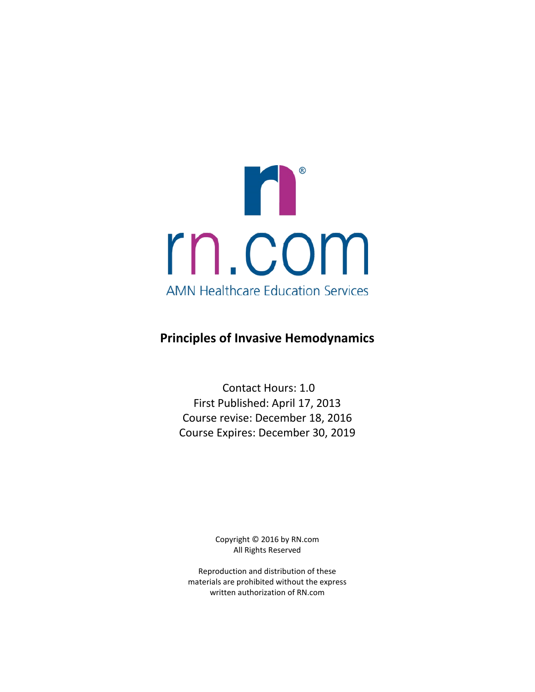

# **Principles of Invasive Hemodynamics**

Contact Hours: 1.0 First Published: April 17, 2013 Course revise: December 18, 2016 Course Expires: December 30, 2019

> Copyright © 2016 by RN.com All Rights Reserved

Reproduction and distribution of these materials are prohibited without the express written authorization of RN.com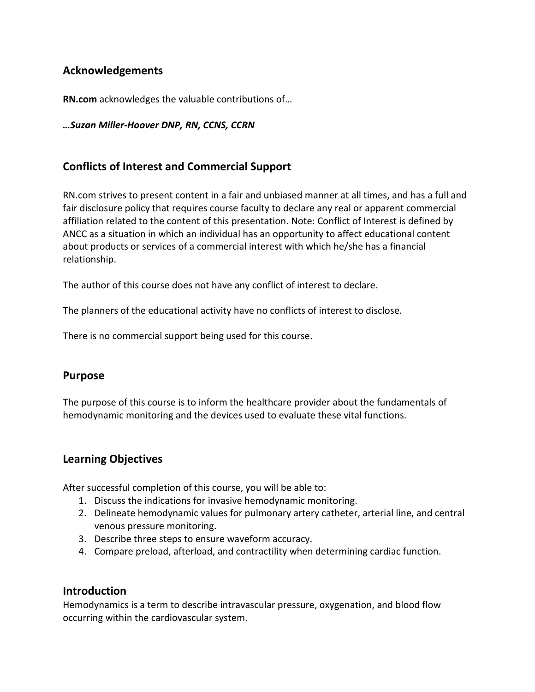# **Acknowledgements**

**RN.com** acknowledges the valuable contributions of…

#### *…Suzan Miller-Hoover DNP, RN, CCNS, CCRN*

## **Conflicts of Interest and Commercial Support**

RN.com strives to present content in a fair and unbiased manner at all times, and has a full and fair disclosure policy that requires course faculty to declare any real or apparent commercial affiliation related to the content of this presentation. Note: Conflict of Interest is defined by ANCC as a situation in which an individual has an opportunity to affect educational content about products or services of a commercial interest with which he/she has a financial relationship.

The author of this course does not have any conflict of interest to declare.

The planners of the educational activity have no conflicts of interest to disclose.

There is no commercial support being used for this course.

### **Purpose**

The purpose of this course is to inform the healthcare provider about the fundamentals of hemodynamic monitoring and the devices used to evaluate these vital functions.

### **Learning Objectives**

After successful completion of this course, you will be able to:

- 1. Discuss the indications for invasive hemodynamic monitoring.
- 2. Delineate hemodynamic values for pulmonary artery catheter, arterial line, and central venous pressure monitoring.
- 3. Describe three steps to ensure waveform accuracy.
- 4. Compare preload, afterload, and contractility when determining cardiac function.

### **Introduction**

Hemodynamics is a term to describe intravascular pressure, oxygenation, and blood flow occurring within the cardiovascular system.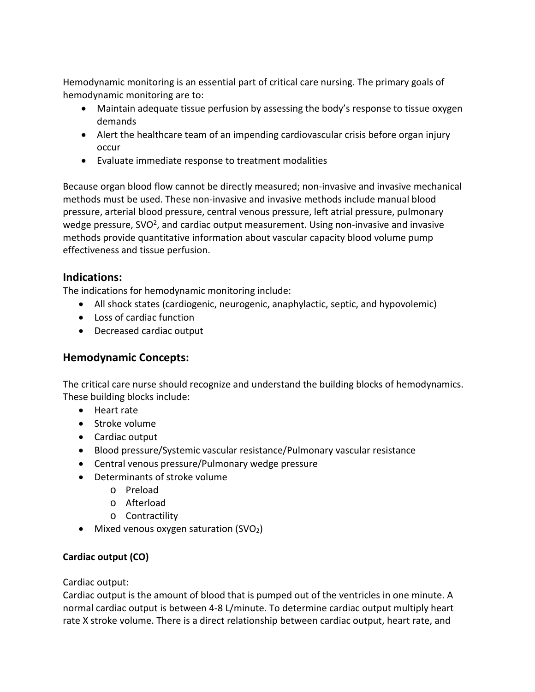Hemodynamic monitoring is an essential part of critical care nursing. The primary goals of hemodynamic monitoring are to:

- Maintain adequate tissue perfusion by assessing the body's response to tissue oxygen demands
- Alert the healthcare team of an impending cardiovascular crisis before organ injury occur
- Evaluate immediate response to treatment modalities

Because organ blood flow cannot be directly measured; non-invasive and invasive mechanical methods must be used. These non-invasive and invasive methods include manual blood pressure, arterial blood pressure, central venous pressure, left atrial pressure, pulmonary wedge pressure,  $SVO<sup>2</sup>$ , and cardiac output measurement. Using non-invasive and invasive methods provide quantitative information about vascular capacity blood volume pump effectiveness and tissue perfusion.

## **Indications:**

The indications for hemodynamic monitoring include:

- All shock states (cardiogenic, neurogenic, anaphylactic, septic, and hypovolemic)
- Loss of cardiac function
- Decreased cardiac output

## **Hemodynamic Concepts:**

The critical care nurse should recognize and understand the building blocks of hemodynamics. These building blocks include:

- Heart rate
- Stroke volume
- Cardiac output
- Blood pressure/Systemic vascular resistance/Pulmonary vascular resistance
- Central venous pressure/Pulmonary wedge pressure
- Determinants of stroke volume
	- o Preload
	- o Afterload
	- o Contractility
- Mixed venous oxygen saturation (SVO<sub>2</sub>)

## **Cardiac output (CO)**

Cardiac output:

Cardiac output is the amount of blood that is pumped out of the ventricles in one minute. A normal cardiac output is between 4-8 L/minute. To determine cardiac output multiply heart rate X stroke volume. There is a direct relationship between cardiac output, heart rate, and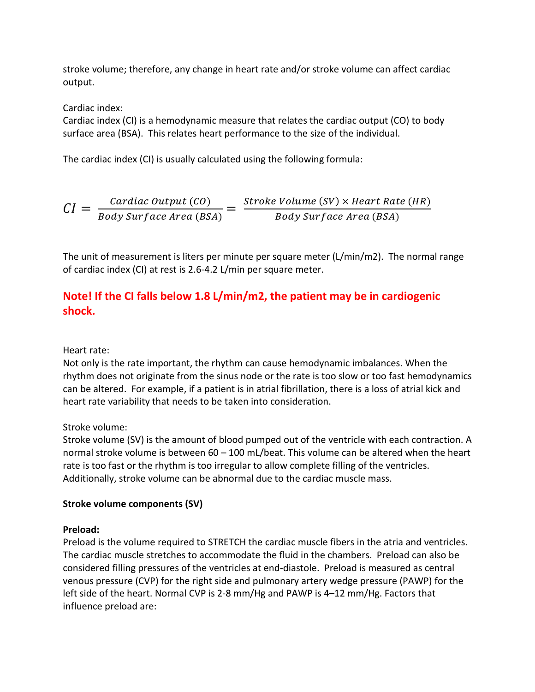stroke volume; therefore, any change in heart rate and/or stroke volume can affect cardiac output.

Cardiac index:

Cardiac index (CI) is a hemodynamic measure that relates the cardiac output (CO) to body surface area (BSA). This relates heart performance to the size of the individual.

The cardiac index (CI) is usually calculated using the following formula:

$$
CI = \frac{Cardiac\ Output\ (CO)}{Body\ Surface\ Area\ (BSA)} = \frac{Stroke\ Volume\ (SV)\times Heart\ Rate\ (HR)}{Body\ Surface\ Area\ (BSA)}
$$

The unit of measurement is liters per minute per square meter (L/min/m2). The normal range of cardiac index (CI) at rest is 2.6-4.2 L/min per square meter.

# **Note! If the CI falls below 1.8 L/min/m2, the patient may be in cardiogenic shock.**

### Heart rate:

Not only is the rate important, the rhythm can cause hemodynamic imbalances. When the rhythm does not originate from the sinus node or the rate is too slow or too fast hemodynamics can be altered. For example, if a patient is in atrial fibrillation, there is a loss of atrial kick and heart rate variability that needs to be taken into consideration.

Stroke volume:

Stroke volume (SV) is the amount of blood pumped out of the ventricle with each contraction. A normal stroke volume is between 60 – 100 mL/beat. This volume can be altered when the heart rate is too fast or the rhythm is too irregular to allow complete filling of the ventricles. Additionally, stroke volume can be abnormal due to the cardiac muscle mass.

## **Stroke volume components (SV)**

## **Preload:**

Preload is the volume required to STRETCH the cardiac muscle fibers in the atria and ventricles. The cardiac muscle stretches to accommodate the fluid in the chambers. Preload can also be considered filling pressures of the ventricles at end-diastole. Preload is measured as central venous pressure (CVP) for the right side and pulmonary artery wedge pressure (PAWP) for the left side of the heart. Normal CVP is 2-8 mm/Hg and PAWP is 4–12 mm/Hg. Factors that influence preload are: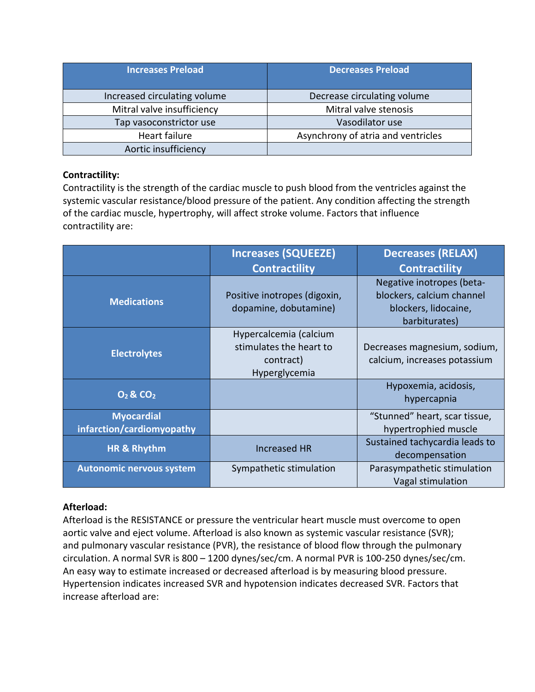| <b>Increases Preload</b>     | <b>Decreases Preload</b>           |
|------------------------------|------------------------------------|
| Increased circulating volume | Decrease circulating volume        |
| Mitral valve insufficiency   | Mitral valve stenosis              |
| Tap vasoconstrictor use      | Vasodilator use                    |
| Heart failure                | Asynchrony of atria and ventricles |
| Aortic insufficiency         |                                    |

### **Contractility:**

Contractility is the strength of the cardiac muscle to push blood from the ventricles against the systemic vascular resistance/blood pressure of the patient. Any condition affecting the strength of the cardiac muscle, hypertrophy, will affect stroke volume. Factors that influence contractility are:

|                                                | <b>Increases (SQUEEZE)</b>                                                      | <b>Decreases (RELAX)</b>                                                                        |  |
|------------------------------------------------|---------------------------------------------------------------------------------|-------------------------------------------------------------------------------------------------|--|
|                                                | <b>Contractility</b>                                                            | <b>Contractility</b>                                                                            |  |
| <b>Medications</b>                             | Positive inotropes (digoxin,<br>dopamine, dobutamine)                           | Negative inotropes (beta-<br>blockers, calcium channel<br>blockers, lidocaine,<br>barbiturates) |  |
| <b>Electrolytes</b>                            | Hypercalcemia (calcium<br>stimulates the heart to<br>contract)<br>Hyperglycemia | Decreases magnesium, sodium,<br>calcium, increases potassium                                    |  |
| $O_2$ & CO <sub>2</sub>                        |                                                                                 | Hypoxemia, acidosis,<br>hypercapnia                                                             |  |
| <b>Myocardial</b><br>infarction/cardiomyopathy |                                                                                 | "Stunned" heart, scar tissue,<br>hypertrophied muscle                                           |  |
| HR & Rhythm                                    | <b>Increased HR</b>                                                             | Sustained tachycardia leads to<br>decompensation                                                |  |
| <b>Autonomic nervous system</b>                | Sympathetic stimulation                                                         | Parasympathetic stimulation<br>Vagal stimulation                                                |  |

### **Afterload:**

Afterload is the RESISTANCE or pressure the ventricular heart muscle must overcome to open aortic valve and eject volume. Afterload is also known as systemic vascular resistance (SVR); and pulmonary vascular resistance (PVR), the resistance of blood flow through the pulmonary circulation. A normal SVR is 800 – 1200 dynes/sec/cm. A normal PVR is 100-250 dynes/sec/cm. An easy way to estimate increased or decreased afterload is by measuring blood pressure. Hypertension indicates increased SVR and hypotension indicates decreased SVR. Factors that increase afterload are: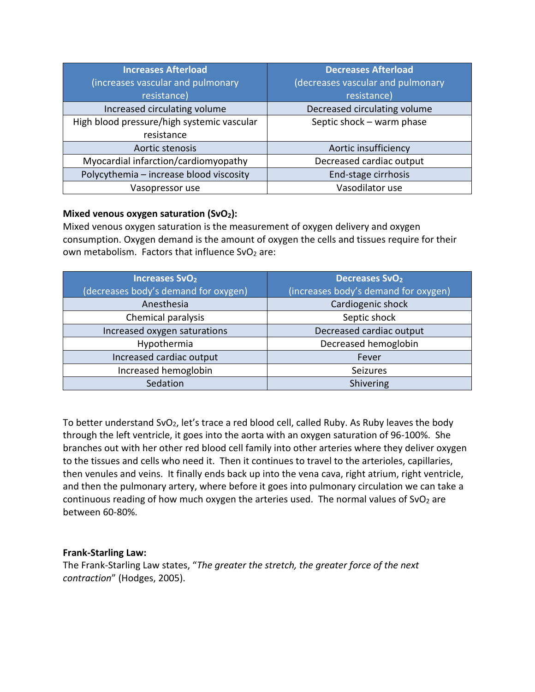| <b>Increases Afterload</b>                                              | <b>Decreases Afterload</b>        |
|-------------------------------------------------------------------------|-----------------------------------|
| (increases vascular and pulmonary                                       | (decreases vascular and pulmonary |
| resistance)                                                             | resistance)                       |
| Increased circulating volume                                            | Decreased circulating volume      |
| High blood pressure/high systemic vascular<br>Septic shock - warm phase |                                   |
| resistance                                                              |                                   |
| Aortic stenosis                                                         | Aortic insufficiency              |
| Myocardial infarction/cardiomyopathy                                    | Decreased cardiac output          |
| Polycythemia - increase blood viscosity                                 | End-stage cirrhosis               |
| Vasopressor use                                                         | Vasodilator use                   |

### Mixed venous oxygen saturation (SvO<sub>2</sub>):

Mixed venous oxygen saturation is the measurement of oxygen delivery and oxygen consumption. Oxygen demand is the amount of oxygen the cells and tissues require for their own metabolism. Factors that influence  $SvO<sub>2</sub>$  are:

| <b>Increases SvO<sub>2</sub></b>     | <b>Decreases SvO<sub>2</sub></b>     |  |
|--------------------------------------|--------------------------------------|--|
| (decreases body's demand for oxygen) | (increases body's demand for oxygen) |  |
| Anesthesia                           | Cardiogenic shock                    |  |
| Chemical paralysis                   | Septic shock                         |  |
| Increased oxygen saturations         | Decreased cardiac output             |  |
| Hypothermia                          | Decreased hemoglobin                 |  |
| Increased cardiac output             | Fever                                |  |
| Increased hemoglobin                 | Seizures                             |  |
| Sedation                             | Shivering                            |  |

To better understand SvO<sub>2</sub>, let's trace a red blood cell, called Ruby. As Ruby leaves the body through the left ventricle, it goes into the aorta with an oxygen saturation of 96-100%. She branches out with her other red blood cell family into other arteries where they deliver oxygen to the tissues and cells who need it. Then it continues to travel to the arterioles, capillaries, then venules and veins. It finally ends back up into the vena cava, right atrium, right ventricle, and then the pulmonary artery, where before it goes into pulmonary circulation we can take a continuous reading of how much oxygen the arteries used. The normal values of SvO<sub>2</sub> are between 60-80%.

### **Frank-Starling Law:**

The Frank-Starling Law states, "*The greater the stretch, the greater force of the next contraction*" (Hodges, 2005).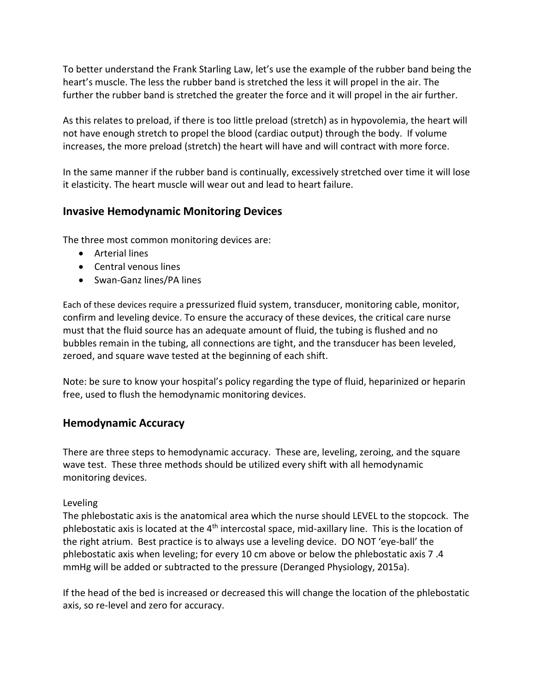To better understand the Frank Starling Law, let's use the example of the rubber band being the heart's muscle. The less the rubber band is stretched the less it will propel in the air. The further the rubber band is stretched the greater the force and it will propel in the air further.

As this relates to preload, if there is too little preload (stretch) as in hypovolemia, the heart will not have enough stretch to propel the blood (cardiac output) through the body. If volume increases, the more preload (stretch) the heart will have and will contract with more force.

In the same manner if the rubber band is continually, excessively stretched over time it will lose it elasticity. The heart muscle will wear out and lead to heart failure.

# **Invasive Hemodynamic Monitoring Devices**

The three most common monitoring devices are:

- Arterial lines
- Central venous lines
- Swan-Ganz lines/PA lines

Each of these devices require a pressurized fluid system, transducer, monitoring cable, monitor, confirm and leveling device. To ensure the accuracy of these devices, the critical care nurse must that the fluid source has an adequate amount of fluid, the tubing is flushed and no bubbles remain in the tubing, all connections are tight, and the transducer has been leveled, zeroed, and square wave tested at the beginning of each shift.

Note: be sure to know your hospital's policy regarding the type of fluid, heparinized or heparin free, used to flush the hemodynamic monitoring devices.

## **Hemodynamic Accuracy**

There are three steps to hemodynamic accuracy. These are, leveling, zeroing, and the square wave test. These three methods should be utilized every shift with all hemodynamic monitoring devices.

### Leveling

The phlebostatic axis is the anatomical area which the nurse should LEVEL to the stopcock. The phlebostatic axis is located at the  $4<sup>th</sup>$  intercostal space, mid-axillary line. This is the location of the right atrium. Best practice is to always use a leveling device. DO NOT 'eye-ball' the phlebostatic axis when leveling; for every 10 cm above or below the phlebostatic axis 7 .4 mmHg will be added or subtracted to the pressure (Deranged Physiology, 2015a).

If the head of the bed is increased or decreased this will change the location of the phlebostatic axis, so re-level and zero for accuracy.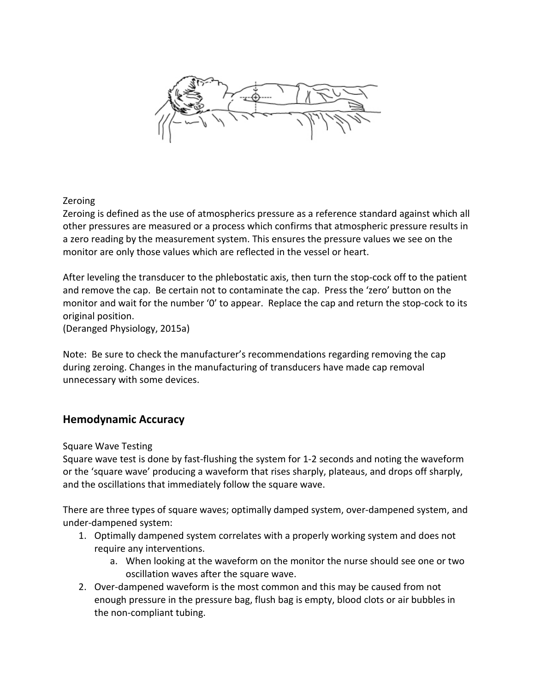

### Zeroing

Zeroing is defined as the use of atmospherics pressure as a reference standard against which all other pressures are measured or a process which confirms that atmospheric pressure results in a zero reading by the measurement system. This ensures the pressure values we see on the monitor are only those values which are reflected in the vessel or heart.

After leveling the transducer to the phlebostatic axis, then turn the stop-cock off to the patient and remove the cap. Be certain not to contaminate the cap. Press the 'zero' button on the monitor and wait for the number '0' to appear. Replace the cap and return the stop-cock to its original position.

(Deranged Physiology, 2015a)

Note: Be sure to check the manufacturer's recommendations regarding removing the cap during zeroing. Changes in the manufacturing of transducers have made cap removal unnecessary with some devices.

## **Hemodynamic Accuracy**

Square Wave Testing

Square wave test is done by fast-flushing the system for 1-2 seconds and noting the waveform or the 'square wave' producing a waveform that rises sharply, plateaus, and drops off sharply, and the oscillations that immediately follow the square wave.

There are three types of square waves; optimally damped system, over-dampened system, and under-dampened system:

- 1. Optimally dampened system correlates with a properly working system and does not require any interventions.
	- a. When looking at the waveform on the monitor the nurse should see one or two oscillation waves after the square wave.
- 2. Over-dampened waveform is the most common and this may be caused from not enough pressure in the pressure bag, flush bag is empty, blood clots or air bubbles in the non-compliant tubing.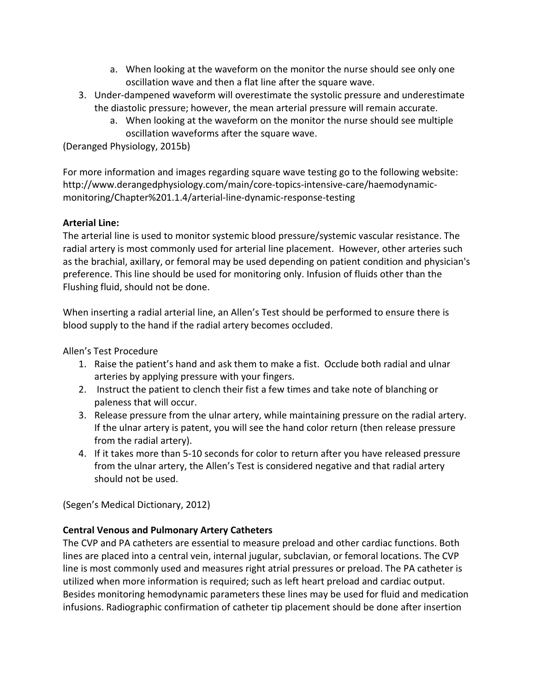- a. When looking at the waveform on the monitor the nurse should see only one oscillation wave and then a flat line after the square wave.
- 3. Under-dampened waveform will overestimate the systolic pressure and underestimate the diastolic pressure; however, the mean arterial pressure will remain accurate.
	- a. When looking at the waveform on the monitor the nurse should see multiple oscillation waveforms after the square wave.

(Deranged Physiology, 2015b)

For more information and images regarding square wave testing go to the following website: http://www.derangedphysiology.com/main/core-topics-intensive-care/haemodynamicmonitoring/Chapter%201.1.4/arterial-line-dynamic-response-testing

### **Arterial Line:**

The arterial line is used to monitor systemic blood pressure/systemic vascular resistance. The radial artery is most commonly used for arterial line placement. However, other arteries such as the brachial, axillary, or femoral may be used depending on patient condition and physician's preference. This line should be used for monitoring only. Infusion of fluids other than the Flushing fluid, should not be done.

When inserting a radial arterial line, an Allen's Test should be performed to ensure there is blood supply to the hand if the radial artery becomes occluded.

Allen's Test Procedure

- 1. Raise the patient's hand and ask them to make a fist. Occlude both radial and ulnar arteries by applying pressure with your fingers.
- 2. Instruct the patient to clench their fist a few times and take note of blanching or paleness that will occur.
- 3. Release pressure from the ulnar artery, while maintaining pressure on the radial artery. If the ulnar artery is patent, you will see the hand color return (then release pressure from the radial artery).
- 4. If it takes more than 5-10 seconds for color to return after you have released pressure from the ulnar artery, the Allen's Test is considered negative and that radial artery should not be used.

(Segen's Medical Dictionary, 2012)

## **Central Venous and Pulmonary Artery Catheters**

The CVP and PA catheters are essential to measure preload and other cardiac functions. Both lines are placed into a central vein, internal jugular, subclavian, or femoral locations. The CVP line is most commonly used and measures right atrial pressures or preload. The PA catheter is utilized when more information is required; such as left heart preload and cardiac output. Besides monitoring hemodynamic parameters these lines may be used for fluid and medication infusions. Radiographic confirmation of catheter tip placement should be done after insertion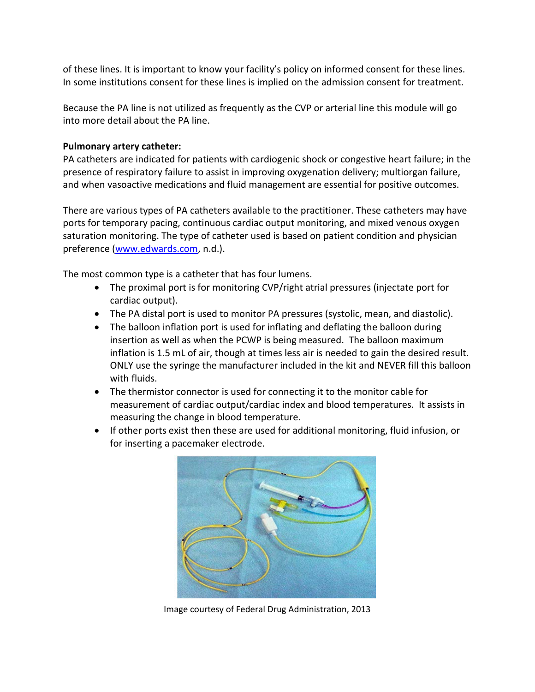of these lines. It is important to know your facility's policy on informed consent for these lines. In some institutions consent for these lines is implied on the admission consent for treatment.

Because the PA line is not utilized as frequently as the CVP or arterial line this module will go into more detail about the PA line.

### **Pulmonary artery catheter:**

PA catheters are indicated for patients with cardiogenic shock or congestive heart failure; in the presence of respiratory failure to assist in improving oxygenation delivery; multiorgan failure, and when vasoactive medications and fluid management are essential for positive outcomes.

There are various types of PA catheters available to the practitioner. These catheters may have ports for temporary pacing, continuous cardiac output monitoring, and mixed venous oxygen saturation monitoring. The type of catheter used is based on patient condition and physician preference [\(www.edwards.com,](http://www.edwards.com/) n.d.).

The most common type is a catheter that has four lumens.

- The proximal port is for monitoring CVP/right atrial pressures (injectate port for cardiac output).
- The PA distal port is used to monitor PA pressures (systolic, mean, and diastolic).
- The balloon inflation port is used for inflating and deflating the balloon during insertion as well as when the PCWP is being measured. The balloon maximum inflation is 1.5 mL of air, though at times less air is needed to gain the desired result. ONLY use the syringe the manufacturer included in the kit and NEVER fill this balloon with fluids.
- The thermistor connector is used for connecting it to the monitor cable for measurement of cardiac output/cardiac index and blood temperatures. It assists in measuring the change in blood temperature.
- If other ports exist then these are used for additional monitoring, fluid infusion, or for inserting a pacemaker electrode.



Image courtesy of Federal Drug Administration, 2013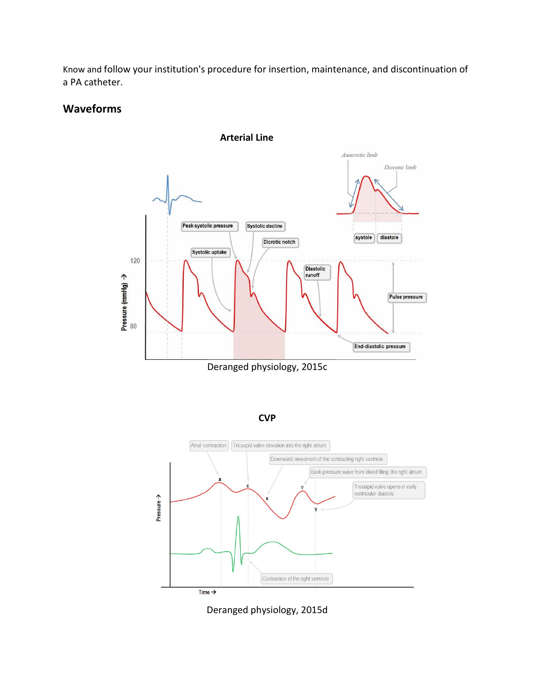Know and follow your institution's procedure for insertion, maintenance, and discontinuation of a PA catheter.

## **Waveforms**



Deranged physiology, 2015c





Deranged physiology, 2015d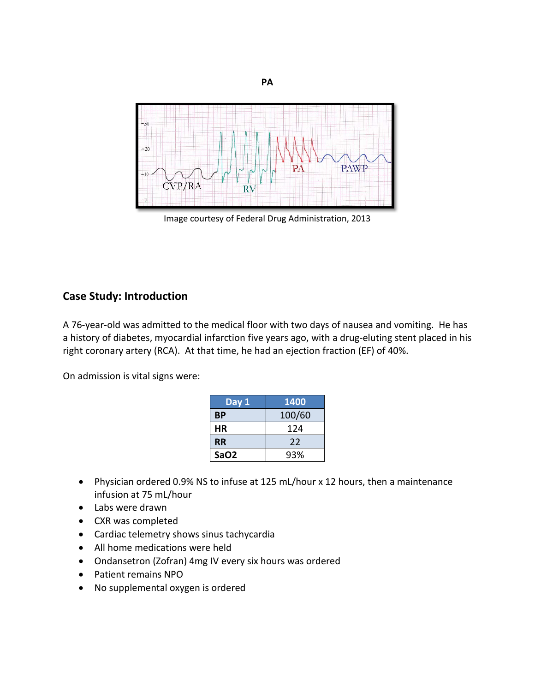

**PA**

Image courtesy of Federal Drug Administration, 2013

### **Case Study: Introduction**

A 76-year-old was admitted to the medical floor with two days of nausea and vomiting. He has a history of diabetes, myocardial infarction five years ago, with a drug-eluting stent placed in his right coronary artery (RCA). At that time, he had an ejection fraction (EF) of 40%.

On admission is vital signs were:

| Day 1            | 1400   |
|------------------|--------|
| <b>BP</b>        | 100/60 |
| HR               | 124    |
| <b>RR</b>        | 22     |
| SaO <sub>2</sub> | 93%    |

- Physician ordered 0.9% NS to infuse at 125 mL/hour x 12 hours, then a maintenance infusion at 75 mL/hour
- Labs were drawn
- CXR was completed
- Cardiac telemetry shows sinus tachycardia
- All home medications were held
- Ondansetron (Zofran) 4mg IV every six hours was ordered
- Patient remains NPO
- No supplemental oxygen is ordered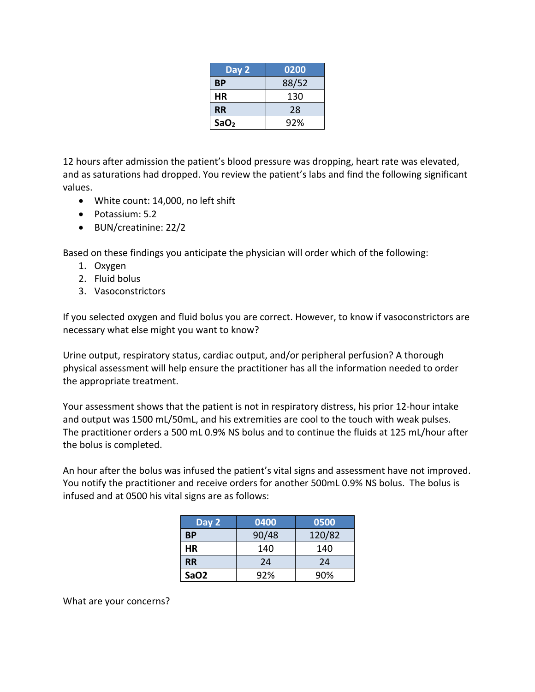| Day 2            | 0200  |
|------------------|-------|
| <b>BP</b>        | 88/52 |
| НR               | 130   |
| <b>RR</b>        | 28    |
| SaO <sub>2</sub> | 92%   |

12 hours after admission the patient's blood pressure was dropping, heart rate was elevated, and as saturations had dropped. You review the patient's labs and find the following significant values.

- White count: 14,000, no left shift
- Potassium: 5.2
- BUN/creatinine: 22/2

Based on these findings you anticipate the physician will order which of the following:

- 1. Oxygen
- 2. Fluid bolus
- 3. Vasoconstrictors

If you selected oxygen and fluid bolus you are correct. However, to know if vasoconstrictors are necessary what else might you want to know?

Urine output, respiratory status, cardiac output, and/or peripheral perfusion? A thorough physical assessment will help ensure the practitioner has all the information needed to order the appropriate treatment.

Your assessment shows that the patient is not in respiratory distress, his prior 12-hour intake and output was 1500 mL/50mL, and his extremities are cool to the touch with weak pulses. The practitioner orders a 500 mL 0.9% NS bolus and to continue the fluids at 125 mL/hour after the bolus is completed.

An hour after the bolus was infused the patient's vital signs and assessment have not improved. You notify the practitioner and receive orders for another 500mL 0.9% NS bolus. The bolus is infused and at 0500 his vital signs are as follows:

| Day 2            | 0400  | 0500   |
|------------------|-------|--------|
| ВP               | 90/48 | 120/82 |
| НR               | 140   | 140    |
| <b>RR</b>        | 24    | 24     |
| SaO <sub>2</sub> | 92%   | 90%    |

What are your concerns?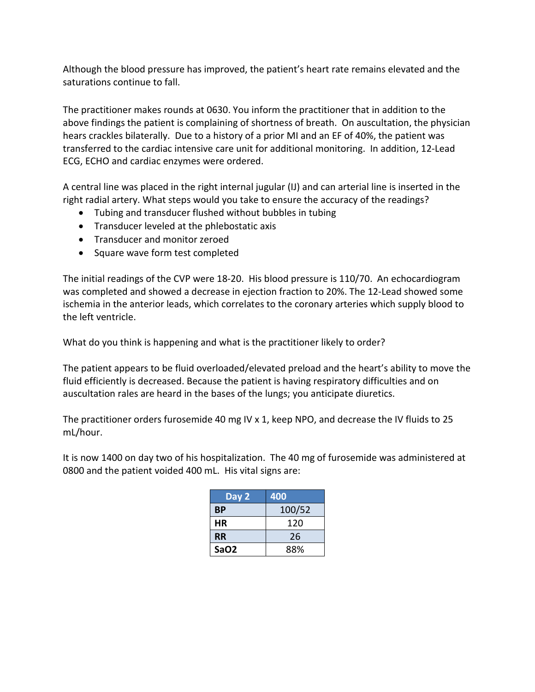Although the blood pressure has improved, the patient's heart rate remains elevated and the saturations continue to fall.

The practitioner makes rounds at 0630. You inform the practitioner that in addition to the above findings the patient is complaining of shortness of breath. On auscultation, the physician hears crackles bilaterally. Due to a history of a prior MI and an EF of 40%, the patient was transferred to the cardiac intensive care unit for additional monitoring. In addition, 12-Lead ECG, ECHO and cardiac enzymes were ordered.

A central line was placed in the right internal jugular (IJ) and can arterial line is inserted in the right radial artery. What steps would you take to ensure the accuracy of the readings?

- Tubing and transducer flushed without bubbles in tubing
- Transducer leveled at the phlebostatic axis
- Transducer and monitor zeroed
- Square wave form test completed

The initial readings of the CVP were 18-20. His blood pressure is 110/70. An echocardiogram was completed and showed a decrease in ejection fraction to 20%. The 12-Lead showed some ischemia in the anterior leads, which correlates to the coronary arteries which supply blood to the left ventricle.

What do you think is happening and what is the practitioner likely to order?

The patient appears to be fluid overloaded/elevated preload and the heart's ability to move the fluid efficiently is decreased. Because the patient is having respiratory difficulties and on auscultation rales are heard in the bases of the lungs; you anticipate diuretics.

The practitioner orders furosemide 40 mg IV x 1, keep NPO, and decrease the IV fluids to 25 mL/hour.

It is now 1400 on day two of his hospitalization. The 40 mg of furosemide was administered at 0800 and the patient voided 400 mL. His vital signs are:

| Day 2            | 400    |
|------------------|--------|
| <b>BP</b>        | 100/52 |
| НR               | 120    |
| <b>RR</b>        | 26     |
| SaO <sub>2</sub> | 88%    |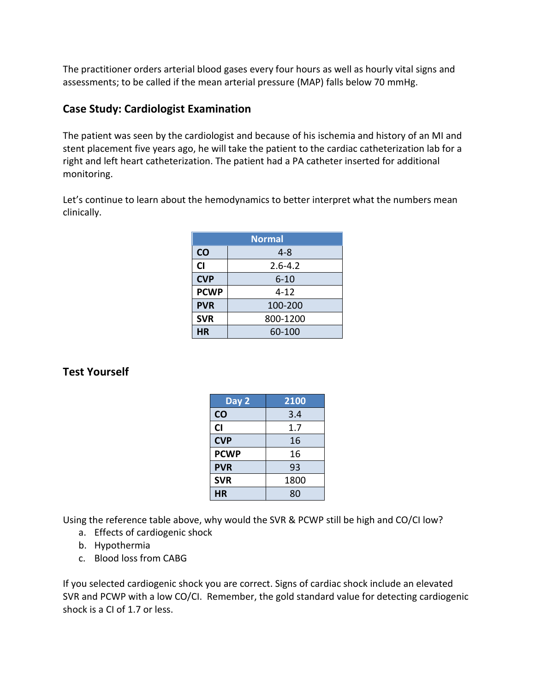The practitioner orders arterial blood gases every four hours as well as hourly vital signs and assessments; to be called if the mean arterial pressure (MAP) falls below 70 mmHg.

## **Case Study: Cardiologist Examination**

The patient was seen by the cardiologist and because of his ischemia and history of an MI and stent placement five years ago, he will take the patient to the cardiac catheterization lab for a right and left heart catheterization. The patient had a PA catheter inserted for additional monitoring.

Let's continue to learn about the hemodynamics to better interpret what the numbers mean clinically.

| <b>Normal</b> |             |  |
|---------------|-------------|--|
| CO            | $4 - 8$     |  |
| <b>CI</b>     | $2.6 - 4.2$ |  |
| <b>CVP</b>    | $6 - 10$    |  |
| <b>PCWP</b>   | $4 - 12$    |  |
| <b>PVR</b>    | 100-200     |  |
| <b>SVR</b>    | 800-1200    |  |
| HR            | 60-100      |  |

# **Test Yourself**

| Day 2       | 2100 |
|-------------|------|
| <b>CO</b>   | 3.4  |
| CI          | 1.7  |
| <b>CVP</b>  | 16   |
| <b>PCWP</b> | 16   |
| <b>PVR</b>  | 93   |
| <b>SVR</b>  | 1800 |
| НR          | 80   |

Using the reference table above, why would the SVR & PCWP still be high and CO/CI low?

- a. Effects of cardiogenic shock
- b. Hypothermia
- c. Blood loss from CABG

If you selected cardiogenic shock you are correct. Signs of cardiac shock include an elevated SVR and PCWP with a low CO/CI. Remember, the gold standard value for detecting cardiogenic shock is a CI of 1.7 or less.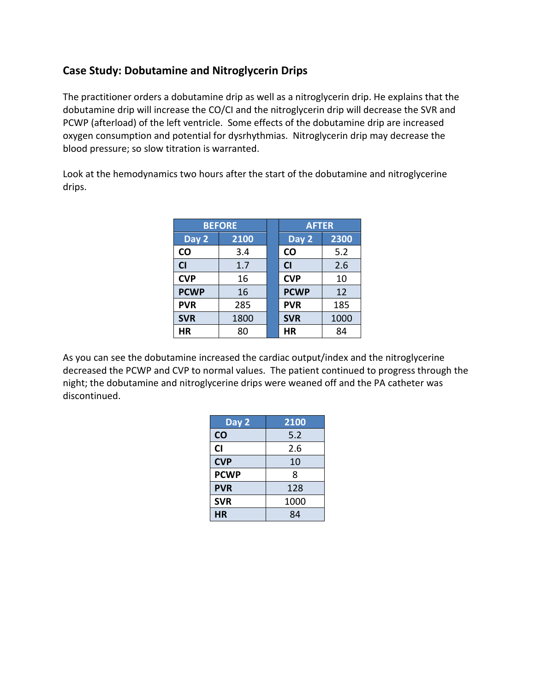## **Case Study: Dobutamine and Nitroglycerin Drips**

The practitioner orders a dobutamine drip as well as a nitroglycerin drip. He explains that the dobutamine drip will increase the CO/CI and the nitroglycerin drip will decrease the SVR and PCWP (afterload) of the left ventricle. Some effects of the dobutamine drip are increased oxygen consumption and potential for dysrhythmias. Nitroglycerin drip may decrease the blood pressure; so slow titration is warranted.

Look at the hemodynamics two hours after the start of the dobutamine and nitroglycerine drips.

| <b>BEFORE</b> |      | <b>AFTER</b> |             |      |
|---------------|------|--------------|-------------|------|
| Day 2         | 2100 |              | Day 2       | 2300 |
| <b>CO</b>     | 3.4  |              | <b>CO</b>   | 5.2  |
| <b>CI</b>     | 1.7  |              | <b>CI</b>   | 2.6  |
| <b>CVP</b>    | 16   |              | <b>CVP</b>  | 10   |
| <b>PCWP</b>   | 16   |              | <b>PCWP</b> | 12   |
| <b>PVR</b>    | 285  |              | <b>PVR</b>  | 185  |
| <b>SVR</b>    | 1800 |              | <b>SVR</b>  | 1000 |
| ΗR            | 80   |              | HR          | 84   |

As you can see the dobutamine increased the cardiac output/index and the nitroglycerine decreased the PCWP and CVP to normal values. The patient continued to progress through the night; the dobutamine and nitroglycerine drips were weaned off and the PA catheter was discontinued.

| Day 2       | 2100 |
|-------------|------|
| CO          | 5.2  |
| <b>CI</b>   | 2.6  |
| <b>CVP</b>  | 10   |
| <b>PCWP</b> | 8    |
| <b>PVR</b>  | 128  |
| <b>SVR</b>  | 1000 |
| НR          | 84   |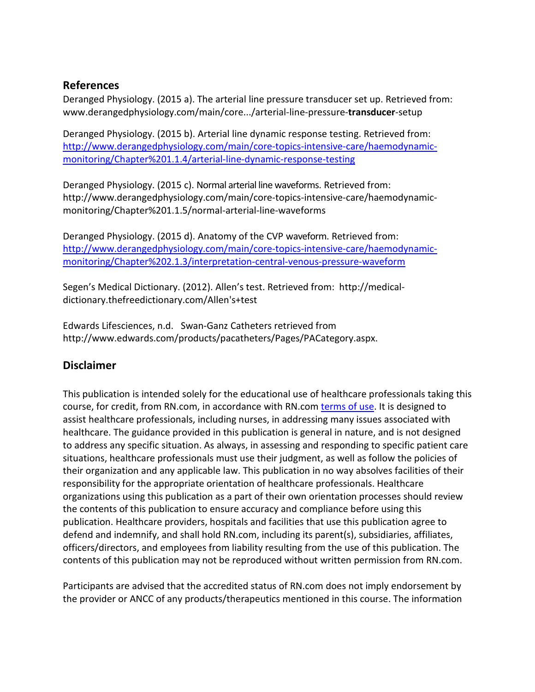## **References**

Deranged Physiology. (2015 a). The arterial line pressure transducer set up. Retrieved from: www.derangedphysiology.com/main/core.../arterial-line-pressure-**transducer**-setup

Deranged Physiology. (2015 b). Arterial line dynamic response testing. Retrieved from: [http://www.derangedphysiology.com/main/core-topics-intensive-care/haemodynamic](http://www.derangedphysiology.com/main/core-topics-intensive-care/haemodynamic-monitoring/Chapter%201.1.4/arterial-line-dynamic-response-testing)[monitoring/Chapter%201.1.4/arterial-line-dynamic-response-testing](http://www.derangedphysiology.com/main/core-topics-intensive-care/haemodynamic-monitoring/Chapter%201.1.4/arterial-line-dynamic-response-testing)

Deranged Physiology. (2015 c). Normal arterial line waveforms. Retrieved from: http://www.derangedphysiology.com/main/core-topics-intensive-care/haemodynamicmonitoring/Chapter%201.1.5/normal-arterial-line-waveforms

Deranged Physiology. (2015 d). Anatomy of the CVP waveform. Retrieved from: [http://www.derangedphysiology.com/main/core-topics-intensive-care/haemodynamic](http://www.derangedphysiology.com/main/core-topics-intensive-care/haemodynamic-monitoring/Chapter%202.1.3/interpretation-central-venous-pressure-waveform)[monitoring/Chapter%202.1.3/interpretation-central-venous-pressure-waveform](http://www.derangedphysiology.com/main/core-topics-intensive-care/haemodynamic-monitoring/Chapter%202.1.3/interpretation-central-venous-pressure-waveform)

Segen's Medical Dictionary. (2012). Allen's test. Retrieved from: http://medicaldictionary.thefreedictionary.com/Allen's+test

Edwards Lifesciences, n.d. Swan-Ganz Catheters retrieved from http://www.edwards.com/products/pacatheters/Pages/PACategory.aspx.

# **Disclaimer**

This publication is intended solely for the educational use of healthcare professionals taking this course, for credit, from RN.com, in accordance with RN.com [terms of use.](http://w3.rn.com/terms_of_use.aspx) It is designed to assist healthcare professionals, including nurses, in addressing many issues associated with healthcare. The guidance provided in this publication is general in nature, and is not designed to address any specific situation. As always, in assessing and responding to specific patient care situations, healthcare professionals must use their judgment, as well as follow the policies of their organization and any applicable law. This publication in no way absolves facilities of their responsibility for the appropriate orientation of healthcare professionals. Healthcare organizations using this publication as a part of their own orientation processes should review the contents of this publication to ensure accuracy and compliance before using this publication. Healthcare providers, hospitals and facilities that use this publication agree to defend and indemnify, and shall hold RN.com, including its parent(s), subsidiaries, affiliates, officers/directors, and employees from liability resulting from the use of this publication. The contents of this publication may not be reproduced without written permission from RN.com.

Participants are advised that the accredited status of RN.com does not imply endorsement by the provider or ANCC of any products/therapeutics mentioned in this course. The information